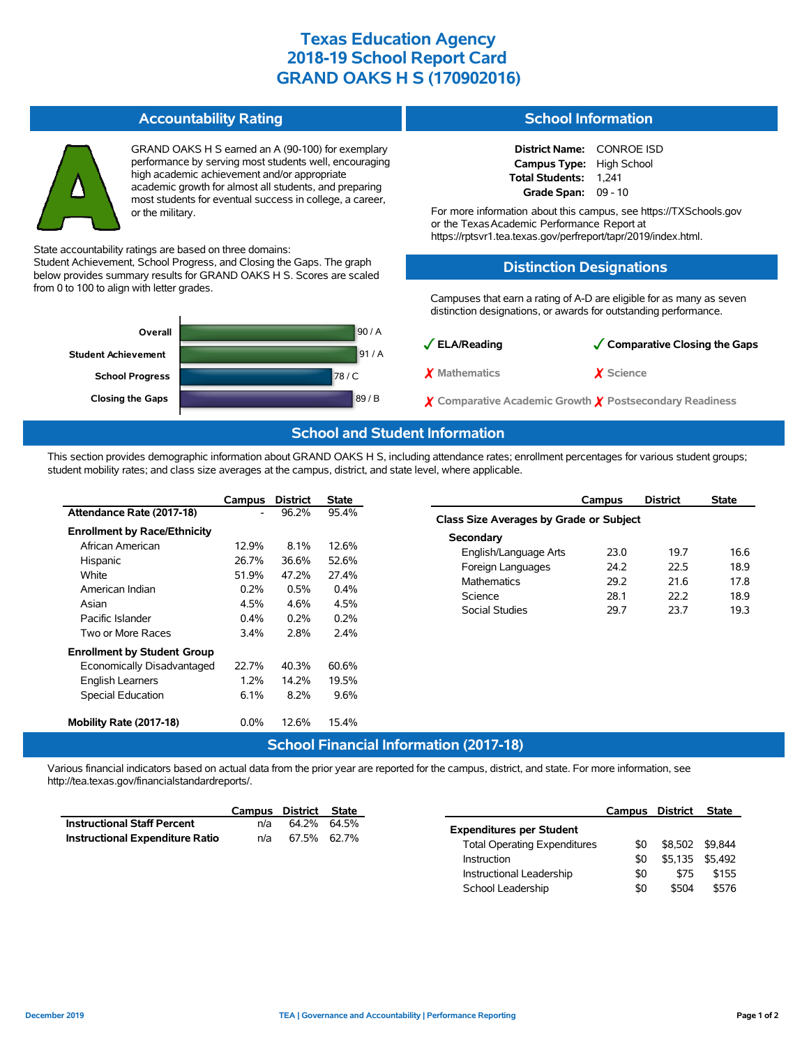# **Texas Education Agency 2018-19 School Report Card GRAND OAKS H S (170902016)**

#### **Accountability Rating**



GRAND OAKS H S earned an A (90-100) for exemplary performance by serving most students well, encouraging high academic achievement and/or appropriate academic growth for almost all students, and preparing most students for eventual success in college, a career, or the military.

State accountability ratings are based on three domains:

Student Achievement, School Progress, and Closing the Gaps. The graph below provides summary results for GRAND OAKS H S. Scores are scaled from 0 to 100 to align with letter grades.



#### **School Information**

**District Name:** CONROE ISD **Campus Type:** High School **Total Students:** 1,241 **Grade Span:** 09 - 10

For more information about this campus, see https://TXSchools.gov or the Texas Academic Performance Report at https://rptsvr1.tea.texas.gov/perfreport/tapr/2019/index.html.

#### **Distinction Designations**

Campuses that earn a rating of A-D are eligible for as many as seven distinction designations, or awards for outstanding performance.

| $\sqrt{\mathsf{ELA/Reading}}$                                     | Comparative Closing the Gaps |
|-------------------------------------------------------------------|------------------------------|
| X Mathematics                                                     | X Science                    |
| $\chi$ Comparative Academic Growth $\chi$ Postsecondary Readiness |                              |

## **School and Student Information**

This section provides demographic information about GRAND OAKS H S, including attendance rates; enrollment percentages for various student groups; student mobility rates; and class size averages at the campus, district, and state level, where applicable.

|                                     | Campus  | <b>District</b>  | <b>State</b> |  |
|-------------------------------------|---------|------------------|--------------|--|
| Attendance Rate (2017-18)           |         | 96.2%            | 95.4%        |  |
| <b>Enrollment by Race/Ethnicity</b> |         |                  |              |  |
| African American                    | 12.9%   | $8.1\%$          | 12.6%        |  |
| Hispanic                            | 26.7%   | 36.6%            | 52.6%        |  |
| White                               | 51.9%   | 47.2%            | 27.4%        |  |
| American Indian                     | 0.2%    | 0.5%             | 0.4%         |  |
| Asian                               | 4.5%    | 4.6%             | 4.5%         |  |
| Pacific Islander                    | $0.4\%$ | 0.2%             | 0.2%         |  |
| Two or More Races                   | 3.4%    | 2.8%             | $2.4\%$      |  |
| <b>Enrollment by Student Group</b>  |         |                  |              |  |
| Economically Disadvantaged          | 22.7%   | 40.3%            | 60.6%        |  |
| <b>English Learners</b>             | 1.2%    | 14.2%            | 19.5%        |  |
| <b>Special Education</b>            | 6.1%    | 8.2%             | 9.6%         |  |
| Mobility Rate (2017-18)             | 0.0%    | 12.6%            | 15.4%        |  |
|                                     |         | School Einancial |              |  |

|                                         | Campus | <b>District</b> | <b>State</b> |  |  |  |  |  |
|-----------------------------------------|--------|-----------------|--------------|--|--|--|--|--|
| Class Size Averages by Grade or Subject |        |                 |              |  |  |  |  |  |
| Secondary                               |        |                 |              |  |  |  |  |  |
| English/Language Arts                   | 23.0   | 197             | 16.6         |  |  |  |  |  |
| Foreign Languages                       | 24.2   | 22.5            | 18.9         |  |  |  |  |  |
| <b>Mathematics</b>                      | 29.2   | 21.6            | 178          |  |  |  |  |  |
| Science                                 | 28.1   | 22 Z            | 18.9         |  |  |  |  |  |
| Social Studies                          | 29.7   | 23.7            | 19.3         |  |  |  |  |  |
|                                         |        |                 |              |  |  |  |  |  |

School Leadership  $$0$  \$504 \$576

### **School Financial Information (2017-18)**

Various financial indicators based on actual data from the prior year are reported for the campus, district, and state. For more information, see http://tea.texas.gov/financialstandardreports/.

|                                    | Campus | District    | State |                                            | Campus District | <b>State</b>    |
|------------------------------------|--------|-------------|-------|--------------------------------------------|-----------------|-----------------|
| <b>Instructional Staff Percent</b> | n/a    | 64.2% 64.5% |       | <b>Expenditures per Student</b>            |                 |                 |
| Instructional Expenditure Ratio    | n/a    | 67.5% 62.7% |       |                                            |                 |                 |
|                                    |        |             |       | <b>Total Operating Expenditures</b><br>\$0 |                 | \$8.502 \$9.844 |
|                                    |        |             |       | \$0<br>Instruction                         | \$5.135         | \$5.492         |
|                                    |        |             |       | Instructional Leadership<br>\$0            | \$75            | \$155           |